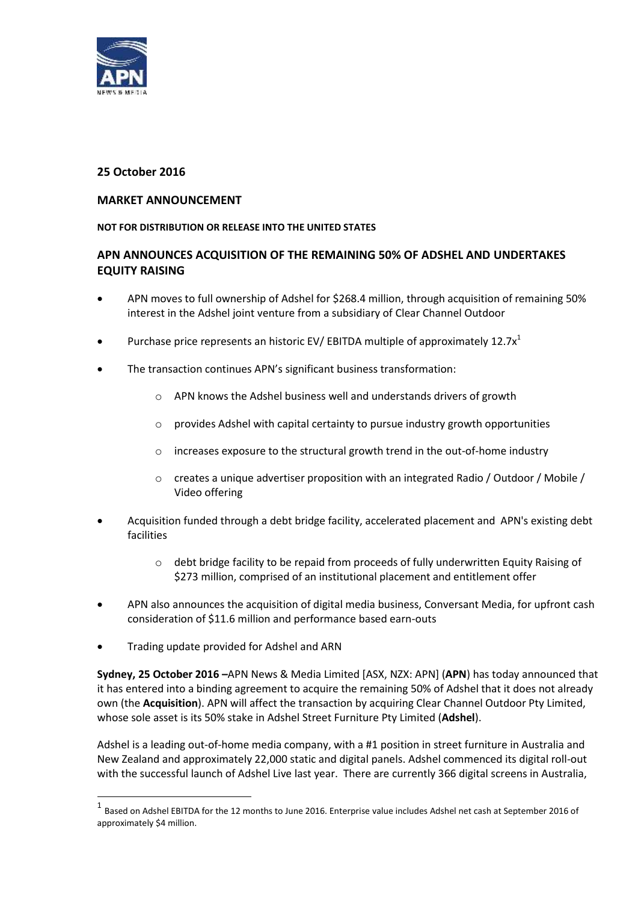

# **25 October 2016**

# **MARKET ANNOUNCEMENT**

## **NOT FOR DISTRIBUTION OR RELEASE INTO THE UNITED STATES**

# **APN ANNOUNCES ACQUISITION OF THE REMAINING 50% OF ADSHEL AND UNDERTAKES EQUITY RAISING**

- APN moves to full ownership of Adshel for \$268.4 million, through acquisition of remaining 50% interest in the Adshel joint venture from a subsidiary of Clear Channel Outdoor
- Purchase price represents an historic EV/ EBITDA multiple of approximately 12.7 $x^1$
- The transaction continues APN's significant business transformation:
	- o APN knows the Adshel business well and understands drivers of growth
	- $\circ$  provides Adshel with capital certainty to pursue industry growth opportunities
	- o increases exposure to the structural growth trend in the out-of-home industry
	- $\circ$  creates a unique advertiser proposition with an integrated Radio / Outdoor / Mobile / Video offering
- Acquisition funded through a debt bridge facility, accelerated placement and APN's existing debt facilities
	- $\circ$  debt bridge facility to be repaid from proceeds of fully underwritten Equity Raising of \$273 million, comprised of an institutional placement and entitlement offer
- APN also announces the acquisition of digital media business, Conversant Media, for upfront cash consideration of \$11.6 million and performance based earn-outs
- Trading update provided for Adshel and ARN

-

**Sydney, 25 October 2016 –**APN News & Media Limited [ASX, NZX: APN] (**APN**) has today announced that it has entered into a binding agreement to acquire the remaining 50% of Adshel that it does not already own (the **Acquisition**). APN will affect the transaction by acquiring Clear Channel Outdoor Pty Limited, whose sole asset is its 50% stake in Adshel Street Furniture Pty Limited (**Adshel**).

Adshel is a leading out-of-home media company, with a #1 position in street furniture in Australia and New Zealand and approximately 22,000 static and digital panels. Adshel commenced its digital roll-out with the successful launch of Adshel Live last year. There are currently 366 digital screens in Australia,

 $^1$  Based on Adshel EBITDA for the 12 months to June 2016. Enterprise value includes Adshel net cash at September 2016 of approximately \$4 million.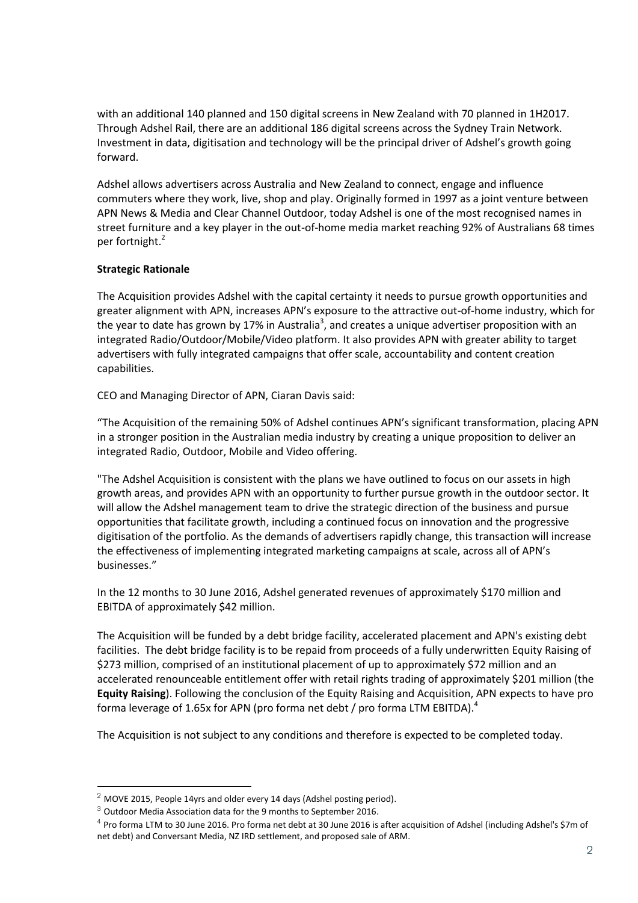with an additional 140 planned and 150 digital screens in New Zealand with 70 planned in 1H2017. Through Adshel Rail, there are an additional 186 digital screens across the Sydney Train Network. Investment in data, digitisation and technology will be the principal driver of Adshel's growth going forward.

Adshel allows advertisers across Australia and New Zealand to connect, engage and influence commuters where they work, live, shop and play. Originally formed in 1997 as a joint venture between APN News & Media and Clear Channel Outdoor, today Adshel is one of the most recognised names in street furniture and a key player in the out-of-home media market reaching 92% of Australians 68 times per fortnight. 2

## **Strategic Rationale**

The Acquisition provides Adshel with the capital certainty it needs to pursue growth opportunities and greater alignment with APN, increases APN's exposure to the attractive out-of-home industry, which for the year to date has grown by 17% in Australia<sup>3</sup>, and creates a unique advertiser proposition with an integrated Radio/Outdoor/Mobile/Video platform. It also provides APN with greater ability to target advertisers with fully integrated campaigns that offer scale, accountability and content creation capabilities.

CEO and Managing Director of APN, Ciaran Davis said:

"The Acquisition of the remaining 50% of Adshel continues APN's significant transformation, placing APN in a stronger position in the Australian media industry by creating a unique proposition to deliver an integrated Radio, Outdoor, Mobile and Video offering.

"The Adshel Acquisition is consistent with the plans we have outlined to focus on our assets in high growth areas, and provides APN with an opportunity to further pursue growth in the outdoor sector. It will allow the Adshel management team to drive the strategic direction of the business and pursue opportunities that facilitate growth, including a continued focus on innovation and the progressive digitisation of the portfolio. As the demands of advertisers rapidly change, this transaction will increase the effectiveness of implementing integrated marketing campaigns at scale, across all of APN's businesses."

In the 12 months to 30 June 2016, Adshel generated revenues of approximately \$170 million and EBITDA of approximately \$42 million.

The Acquisition will be funded by a debt bridge facility, accelerated placement and APN's existing debt facilities. The debt bridge facility is to be repaid from proceeds of a fully underwritten Equity Raising of \$273 million, comprised of an institutional placement of up to approximately \$72 million and an accelerated renounceable entitlement offer with retail rights trading of approximately \$201 million (the **Equity Raising**). Following the conclusion of the Equity Raising and Acquisition, APN expects to have pro forma leverage of 1.65x for APN (pro forma net debt / pro forma LTM EBITDA).<sup>4</sup>

The Acquisition is not subject to any conditions and therefore is expected to be completed today.

1

 $2$  MOVE 2015, People 14yrs and older every 14 days (Adshel posting period).

 $3$  Outdoor Media Association data for the 9 months to September 2016.

<sup>4</sup> Pro forma LTM to 30 June 2016. Pro forma net debt at 30 June 2016 is after acquisition of Adshel (including Adshel's \$7m of net debt) and Conversant Media, NZ IRD settlement, and proposed sale of ARM.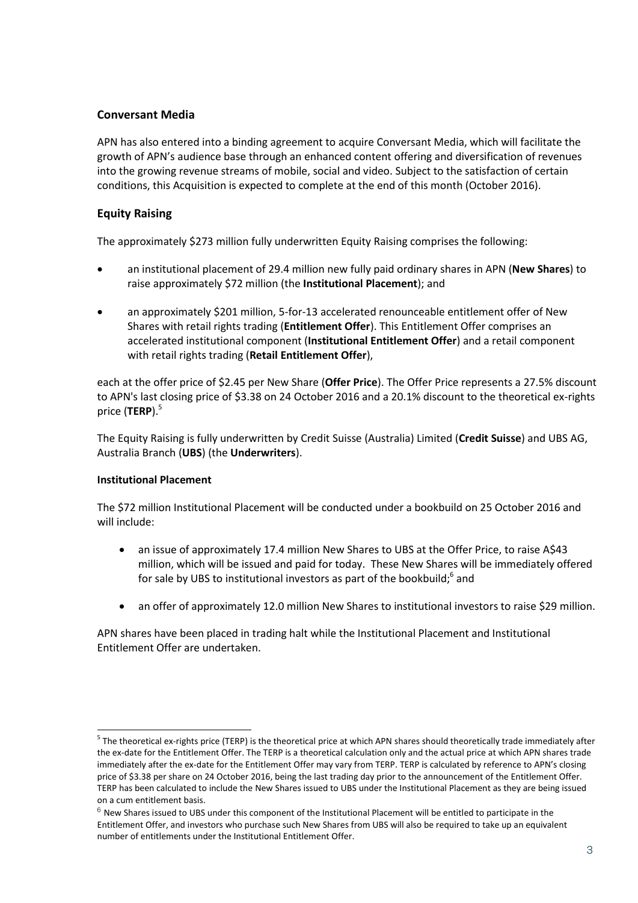# **Conversant Media**

APN has also entered into a binding agreement to acquire Conversant Media, which will facilitate the growth of APN's audience base through an enhanced content offering and diversification of revenues into the growing revenue streams of mobile, social and video. Subject to the satisfaction of certain conditions, this Acquisition is expected to complete at the end of this month (October 2016).

# **Equity Raising**

The approximately \$273 million fully underwritten Equity Raising comprises the following:

- an institutional placement of 29.4 million new fully paid ordinary shares in APN (**New Shares**) to raise approximately \$72 million (the **Institutional Placement**); and
- an approximately \$201 million, 5-for-13 accelerated renounceable entitlement offer of New Shares with retail rights trading (**Entitlement Offer**). This Entitlement Offer comprises an accelerated institutional component (**Institutional Entitlement Offer**) and a retail component with retail rights trading (**Retail Entitlement Offer**),

each at the offer price of \$2.45 per New Share (**Offer Price**). The Offer Price represents a 27.5% discount to APN's last closing price of \$3.38 on 24 October 2016 and a 20.1% discount to the theoretical ex-rights price (TERP).<sup>5</sup>

The Equity Raising is fully underwritten by Credit Suisse (Australia) Limited (**Credit Suisse**) and UBS AG, Australia Branch (**UBS**) (the **Underwriters**).

# **Institutional Placement**

-

The \$72 million Institutional Placement will be conducted under a bookbuild on 25 October 2016 and will include:

- an issue of approximately 17.4 million New Shares to UBS at the Offer Price, to raise A\$43 million, which will be issued and paid for today. These New Shares will be immediately offered for sale by UBS to institutional investors as part of the bookbuild;<sup>6</sup> and
- an offer of approximately 12.0 million New Shares to institutional investors to raise \$29 million.

APN shares have been placed in trading halt while the Institutional Placement and Institutional Entitlement Offer are undertaken.

<sup>&</sup>lt;sup>5</sup> The theoretical ex-rights price (TERP) is the theoretical price at which APN shares should theoretically trade immediately after the ex-date for the Entitlement Offer. The TERP is a theoretical calculation only and the actual price at which APN shares trade immediately after the ex-date for the Entitlement Offer may vary from TERP. TERP is calculated by reference to APN's closing price of \$3.38 per share on 24 October 2016, being the last trading day prior to the announcement of the Entitlement Offer. TERP has been calculated to include the New Shares issued to UBS under the Institutional Placement as they are being issued on a cum entitlement basis.

 $6$  New Shares issued to UBS under this component of the Institutional Placement will be entitled to participate in the Entitlement Offer, and investors who purchase such New Shares from UBS will also be required to take up an equivalent number of entitlements under the Institutional Entitlement Offer.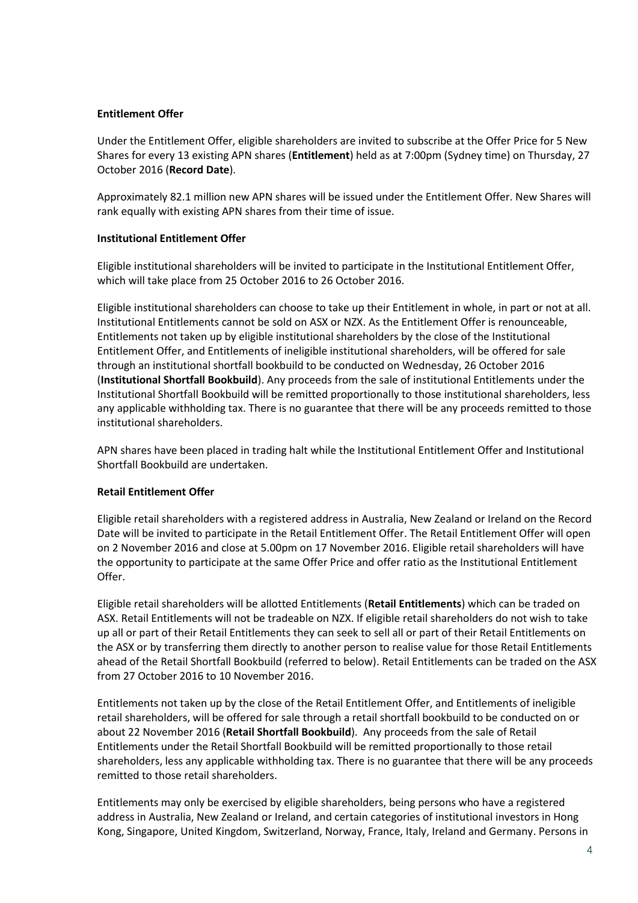## **Entitlement Offer**

Under the Entitlement Offer, eligible shareholders are invited to subscribe at the Offer Price for 5 New Shares for every 13 existing APN shares (**Entitlement**) held as at 7:00pm (Sydney time) on Thursday, 27 October 2016 (**Record Date**).

Approximately 82.1 million new APN shares will be issued under the Entitlement Offer. New Shares will rank equally with existing APN shares from their time of issue.

## **Institutional Entitlement Offer**

Eligible institutional shareholders will be invited to participate in the Institutional Entitlement Offer, which will take place from 25 October 2016 to 26 October 2016.

Eligible institutional shareholders can choose to take up their Entitlement in whole, in part or not at all. Institutional Entitlements cannot be sold on ASX or NZX. As the Entitlement Offer is renounceable, Entitlements not taken up by eligible institutional shareholders by the close of the Institutional Entitlement Offer, and Entitlements of ineligible institutional shareholders, will be offered for sale through an institutional shortfall bookbuild to be conducted on Wednesday, 26 October 2016 (**Institutional Shortfall Bookbuild**). Any proceeds from the sale of institutional Entitlements under the Institutional Shortfall Bookbuild will be remitted proportionally to those institutional shareholders, less any applicable withholding tax. There is no guarantee that there will be any proceeds remitted to those institutional shareholders.

APN shares have been placed in trading halt while the Institutional Entitlement Offer and Institutional Shortfall Bookbuild are undertaken.

#### **Retail Entitlement Offer**

Eligible retail shareholders with a registered address in Australia, New Zealand or Ireland on the Record Date will be invited to participate in the Retail Entitlement Offer. The Retail Entitlement Offer will open on 2 November 2016 and close at 5.00pm on 17 November 2016. Eligible retail shareholders will have the opportunity to participate at the same Offer Price and offer ratio as the Institutional Entitlement Offer.

Eligible retail shareholders will be allotted Entitlements (**Retail Entitlements**) which can be traded on ASX. Retail Entitlements will not be tradeable on NZX. If eligible retail shareholders do not wish to take up all or part of their Retail Entitlements they can seek to sell all or part of their Retail Entitlements on the ASX or by transferring them directly to another person to realise value for those Retail Entitlements ahead of the Retail Shortfall Bookbuild (referred to below). Retail Entitlements can be traded on the ASX from 27 October 2016 to 10 November 2016.

Entitlements not taken up by the close of the Retail Entitlement Offer, and Entitlements of ineligible retail shareholders, will be offered for sale through a retail shortfall bookbuild to be conducted on or about 22 November 2016 (**Retail Shortfall Bookbuild**). Any proceeds from the sale of Retail Entitlements under the Retail Shortfall Bookbuild will be remitted proportionally to those retail shareholders, less any applicable withholding tax. There is no guarantee that there will be any proceeds remitted to those retail shareholders.

Entitlements may only be exercised by eligible shareholders, being persons who have a registered address in Australia, New Zealand or Ireland, and certain categories of institutional investors in Hong Kong, Singapore, United Kingdom, Switzerland, Norway, France, Italy, Ireland and Germany. Persons in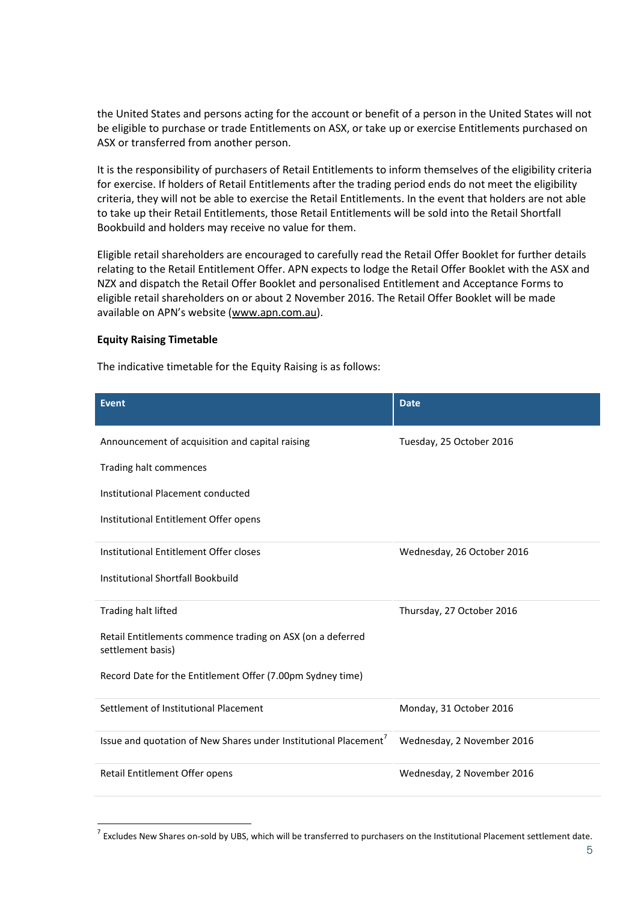the United States and persons acting for the account or benefit of a person in the United States will not be eligible to purchase or trade Entitlements on ASX, or take up or exercise Entitlements purchased on ASX or transferred from another person.

It is the responsibility of purchasers of Retail Entitlements to inform themselves of the eligibility criteria for exercise. If holders of Retail Entitlements after the trading period ends do not meet the eligibility criteria, they will not be able to exercise the Retail Entitlements. In the event that holders are not able to take up their Retail Entitlements, those Retail Entitlements will be sold into the Retail Shortfall Bookbuild and holders may receive no value for them.

Eligible retail shareholders are encouraged to carefully read the Retail Offer Booklet for further details relating to the Retail Entitlement Offer. APN expects to lodge the Retail Offer Booklet with the ASX and NZX and dispatch the Retail Offer Booklet and personalised Entitlement and Acceptance Forms to eligible retail shareholders on or about 2 November 2016. The Retail Offer Booklet will be made available on APN's website ([www.apn.com.au\)](http://www.apn.com.au/).

#### **Equity Raising Timetable**

1

The indicative timetable for the Equity Raising is as follows:

| <b>Event</b>                                                                    | <b>Date</b>                |
|---------------------------------------------------------------------------------|----------------------------|
| Announcement of acquisition and capital raising                                 | Tuesday, 25 October 2016   |
| Trading halt commences                                                          |                            |
| Institutional Placement conducted                                               |                            |
| Institutional Entitlement Offer opens                                           |                            |
| Institutional Entitlement Offer closes                                          | Wednesday, 26 October 2016 |
| Institutional Shortfall Bookbuild                                               |                            |
| Trading halt lifted                                                             | Thursday, 27 October 2016  |
| Retail Entitlements commence trading on ASX (on a deferred<br>settlement basis) |                            |
| Record Date for the Entitlement Offer (7.00pm Sydney time)                      |                            |
| Settlement of Institutional Placement                                           | Monday, 31 October 2016    |
| Issue and quotation of New Shares under Institutional Placement <sup>7</sup>    | Wednesday, 2 November 2016 |
| Retail Entitlement Offer opens                                                  | Wednesday, 2 November 2016 |

 $^7$  Excludes New Shares on-sold by UBS, which will be transferred to purchasers on the Institutional Placement settlement date.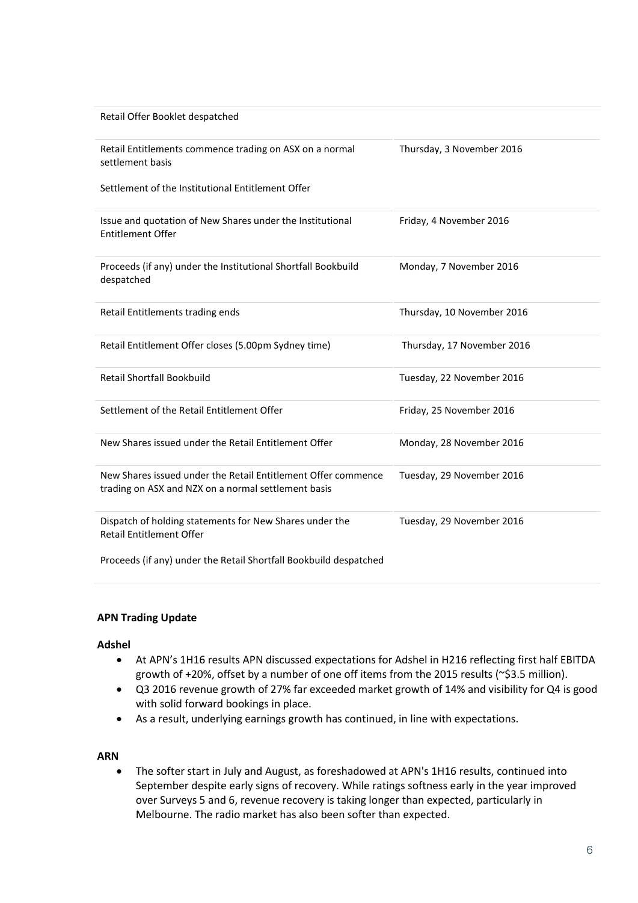| Retail Offer Booklet despatched                                                                                      |                            |
|----------------------------------------------------------------------------------------------------------------------|----------------------------|
| Retail Entitlements commence trading on ASX on a normal<br>settlement basis                                          | Thursday, 3 November 2016  |
| Settlement of the Institutional Entitlement Offer                                                                    |                            |
| Issue and quotation of New Shares under the Institutional<br><b>Entitlement Offer</b>                                | Friday, 4 November 2016    |
| Proceeds (if any) under the Institutional Shortfall Bookbuild<br>despatched                                          | Monday, 7 November 2016    |
| Retail Entitlements trading ends                                                                                     | Thursday, 10 November 2016 |
| Retail Entitlement Offer closes (5.00pm Sydney time)                                                                 | Thursday, 17 November 2016 |
| <b>Retail Shortfall Bookbuild</b>                                                                                    | Tuesday, 22 November 2016  |
| Settlement of the Retail Entitlement Offer                                                                           | Friday, 25 November 2016   |
| New Shares issued under the Retail Entitlement Offer                                                                 | Monday, 28 November 2016   |
| New Shares issued under the Retail Entitlement Offer commence<br>trading on ASX and NZX on a normal settlement basis | Tuesday, 29 November 2016  |
| Dispatch of holding statements for New Shares under the<br><b>Retail Entitlement Offer</b>                           | Tuesday, 29 November 2016  |

Proceeds (if any) under the Retail Shortfall Bookbuild despatched

#### **APN Trading Update**

#### **Adshel**

- At APN's 1H16 results APN discussed expectations for Adshel in H216 reflecting first half EBITDA growth of +20%, offset by a number of one off items from the 2015 results (~\$3.5 million).
- Q3 2016 revenue growth of 27% far exceeded market growth of 14% and visibility for Q4 is good with solid forward bookings in place.
- As a result, underlying earnings growth has continued, in line with expectations.

#### **ARN**

 The softer start in July and August, as foreshadowed at APN's 1H16 results, continued into September despite early signs of recovery. While ratings softness early in the year improved over Surveys 5 and 6, revenue recovery is taking longer than expected, particularly in Melbourne. The radio market has also been softer than expected.